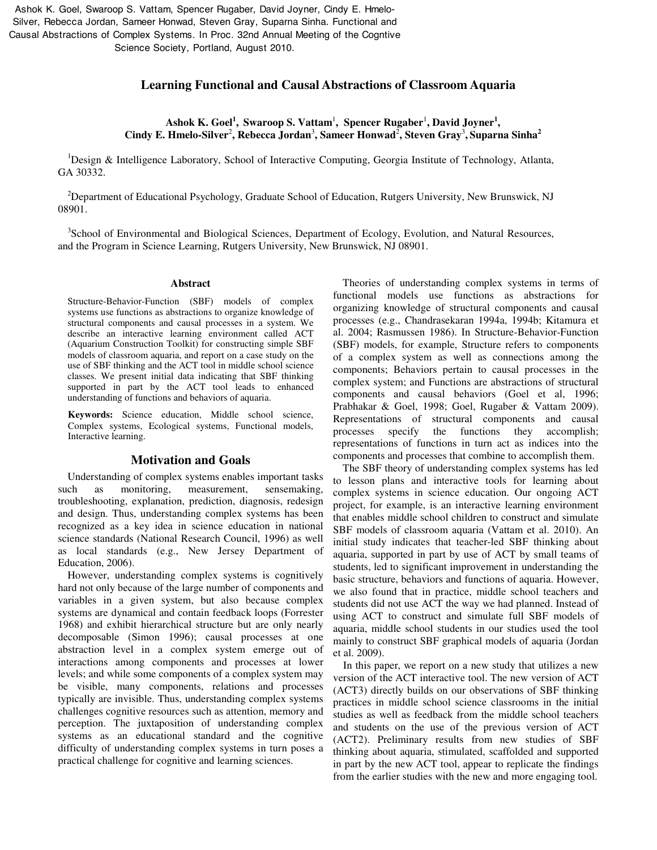Ashok K. Goel, Swaroop S. Vattam, Spencer Rugaber, David Joyner, Cindy E. Hmelo-Silver, Rebecca Jordan, Sameer Honwad, Steven Gray, Suparna Sinha. Functional and Causal Abstractions of Complex Systems. In Proc. 32nd Annual Meeting of the Cogntive Science Society, Portland, August 2010.

## **Learning Functional and Causal Abstractions of Classroom Aquaria**

Ashok K. Goel<sup>1</sup>, Swaroop S. Vattam<sup>1</sup>, Spencer Rugaber<sup>1</sup>, David Joyner<sup>1</sup>, **Cindy E. Hmelo-Silver**<sup>2</sup> **, Rebecca Jordan**<sup>3</sup> **, Sameer Honwad**<sup>2</sup> **, Steven Gray**<sup>3</sup> **, Suparna Sinha<sup>2</sup>**

<sup>1</sup>Design & Intelligence Laboratory, School of Interactive Computing, Georgia Institute of Technology, Atlanta, GA 30332.

<sup>2</sup>Department of Educational Psychology, Graduate School of Education, Rutgers University, New Brunswick, NJ 08901.

<sup>3</sup>School of Environmental and Biological Sciences, Department of Ecology, Evolution, and Natural Resources, and the Program in Science Learning, Rutgers University, New Brunswick, NJ 08901.

#### **Abstract**

Structure-Behavior-Function (SBF) models of complex systems use functions as abstractions to organize knowledge of structural components and causal processes in a system. We describe an interactive learning environment called ACT (Aquarium Construction Toolkit) for constructing simple SBF models of classroom aquaria, and report on a case study on the use of SBF thinking and the ACT tool in middle school science classes. We present initial data indicating that SBF thinking supported in part by the ACT tool leads to enhanced understanding of functions and behaviors of aquaria.

**Keywords:** Science education, Middle school science, Complex systems, Ecological systems, Functional models, Interactive learning.

#### **Motivation and Goals**

Understanding of complex systems enables important tasks such as monitoring, measurement, sensemaking, troubleshooting, explanation, prediction, diagnosis, redesign and design. Thus, understanding complex systems has been recognized as a key idea in science education in national science standards (National Research Council, 1996) as well as local standards (e.g., New Jersey Department of Education, 2006).

However, understanding complex systems is cognitively hard not only because of the large number of components and variables in a given system, but also because complex systems are dynamical and contain feedback loops (Forrester 1968) and exhibit hierarchical structure but are only nearly decomposable (Simon 1996); causal processes at one abstraction level in a complex system emerge out of interactions among components and processes at lower levels; and while some components of a complex system may be visible, many components, relations and processes typically are invisible. Thus, understanding complex systems challenges cognitive resources such as attention, memory and perception. The juxtaposition of understanding complex systems as an educational standard and the cognitive difficulty of understanding complex systems in turn poses a practical challenge for cognitive and learning sciences.

Theories of understanding complex systems in terms of functional models use functions as abstractions for organizing knowledge of structural components and causal processes (e.g., Chandrasekaran 1994a, 1994b; Kitamura et al. 2004; Rasmussen 1986). In Structure-Behavior-Function (SBF) models, for example, Structure refers to components of a complex system as well as connections among the components; Behaviors pertain to causal processes in the complex system; and Functions are abstractions of structural components and causal behaviors (Goel et al, 1996; Prabhakar & Goel, 1998; Goel, Rugaber & Vattam 2009). Representations of structural components and causal processes specify the functions they accomplish; representations of functions in turn act as indices into the components and processes that combine to accomplish them.

The SBF theory of understanding complex systems has led to lesson plans and interactive tools for learning about complex systems in science education. Our ongoing ACT project, for example, is an interactive learning environment that enables middle school children to construct and simulate SBF models of classroom aquaria (Vattam et al. 2010). An initial study indicates that teacher-led SBF thinking about aquaria, supported in part by use of ACT by small teams of students, led to significant improvement in understanding the basic structure, behaviors and functions of aquaria. However, we also found that in practice, middle school teachers and students did not use ACT the way we had planned. Instead of using ACT to construct and simulate full SBF models of aquaria, middle school students in our studies used the tool mainly to construct SBF graphical models of aquaria (Jordan et al. 2009).

In this paper, we report on a new study that utilizes a new version of the ACT interactive tool. The new version of ACT (ACT3) directly builds on our observations of SBF thinking practices in middle school science classrooms in the initial studies as well as feedback from the middle school teachers and students on the use of the previous version of ACT (ACT2). Preliminary results from new studies of SBF thinking about aquaria, stimulated, scaffolded and supported in part by the new ACT tool, appear to replicate the findings from the earlier studies with the new and more engaging tool.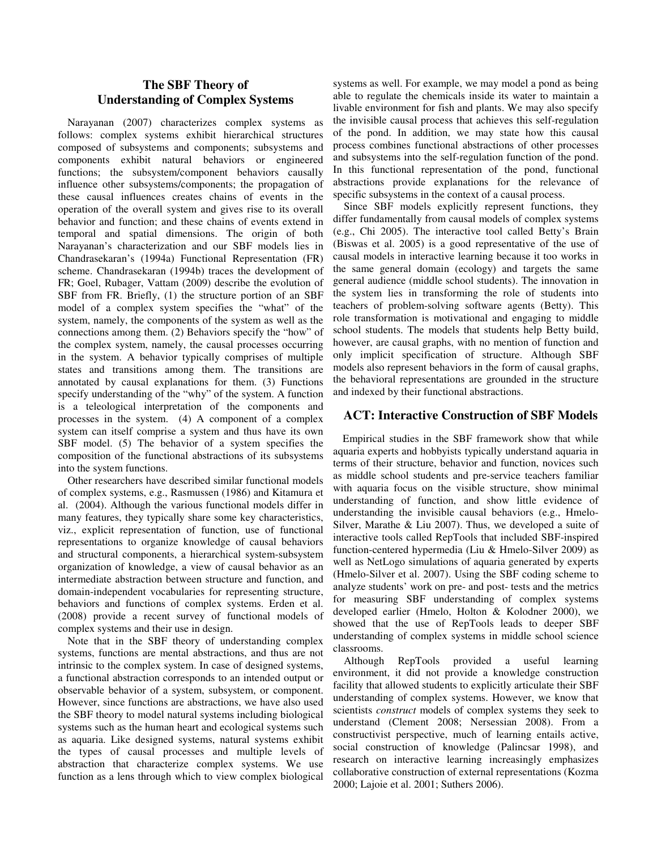# **The SBF Theory of Understanding of Complex Systems**

Narayanan (2007) characterizes complex systems as follows: complex systems exhibit hierarchical structures composed of subsystems and components; subsystems and components exhibit natural behaviors or engineered functions; the subsystem/component behaviors causally influence other subsystems/components; the propagation of these causal influences creates chains of events in the operation of the overall system and gives rise to its overall behavior and function; and these chains of events extend in temporal and spatial dimensions. The origin of both Narayanan's characterization and our SBF models lies in Chandrasekaran's (1994a) Functional Representation (FR) scheme. Chandrasekaran (1994b) traces the development of FR; Goel, Rubager, Vattam (2009) describe the evolution of SBF from FR. Briefly, (1) the structure portion of an SBF model of a complex system specifies the "what" of the system, namely, the components of the system as well as the connections among them. (2) Behaviors specify the "how" of the complex system, namely, the causal processes occurring in the system. A behavior typically comprises of multiple states and transitions among them. The transitions are annotated by causal explanations for them. (3) Functions specify understanding of the "why" of the system. A function is a teleological interpretation of the components and processes in the system. (4) A component of a complex system can itself comprise a system and thus have its own SBF model. (5) The behavior of a system specifies the composition of the functional abstractions of its subsystems into the system functions.

Other researchers have described similar functional models of complex systems, e.g., Rasmussen (1986) and Kitamura et al. (2004). Although the various functional models differ in many features, they typically share some key characteristics, viz., explicit representation of function, use of functional representations to organize knowledge of causal behaviors and structural components, a hierarchical system-subsystem organization of knowledge, a view of causal behavior as an intermediate abstraction between structure and function, and domain-independent vocabularies for representing structure, behaviors and functions of complex systems. Erden et al. (2008) provide a recent survey of functional models of complex systems and their use in design.

Note that in the SBF theory of understanding complex systems, functions are mental abstractions, and thus are not intrinsic to the complex system. In case of designed systems, a functional abstraction corresponds to an intended output or observable behavior of a system, subsystem, or component. However, since functions are abstractions, we have also used the SBF theory to model natural systems including biological systems such as the human heart and ecological systems such as aquaria. Like designed systems, natural systems exhibit the types of causal processes and multiple levels of abstraction that characterize complex systems. We use function as a lens through which to view complex biological systems as well. For example, we may model a pond as being able to regulate the chemicals inside its water to maintain a livable environment for fish and plants. We may also specify the invisible causal process that achieves this self-regulation of the pond. In addition, we may state how this causal process combines functional abstractions of other processes and subsystems into the self-regulation function of the pond. In this functional representation of the pond, functional abstractions provide explanations for the relevance of specific subsystems in the context of a causal process.

Since SBF models explicitly represent functions, they differ fundamentally from causal models of complex systems (e.g., Chi 2005). The interactive tool called Betty's Brain (Biswas et al. 2005) is a good representative of the use of causal models in interactive learning because it too works in the same general domain (ecology) and targets the same general audience (middle school students). The innovation in the system lies in transforming the role of students into teachers of problem-solving software agents (Betty). This role transformation is motivational and engaging to middle school students. The models that students help Betty build, however, are causal graphs, with no mention of function and only implicit specification of structure. Although SBF models also represent behaviors in the form of causal graphs, the behavioral representations are grounded in the structure and indexed by their functional abstractions.

# **ACT: Interactive Construction of SBF Models**

Empirical studies in the SBF framework show that while aquaria experts and hobbyists typically understand aquaria in terms of their structure, behavior and function, novices such as middle school students and pre-service teachers familiar with aquaria focus on the visible structure, show minimal understanding of function, and show little evidence of understanding the invisible causal behaviors (e.g., Hmelo-Silver, Marathe & Liu 2007). Thus, we developed a suite of interactive tools called RepTools that included SBF-inspired function-centered hypermedia (Liu & Hmelo-Silver 2009) as well as NetLogo simulations of aquaria generated by experts (Hmelo-Silver et al. 2007). Using the SBF coding scheme to analyze students' work on pre- and post- tests and the metrics for measuring SBF understanding of complex systems developed earlier (Hmelo, Holton & Kolodner 2000), we showed that the use of RepTools leads to deeper SBF understanding of complex systems in middle school science classrooms.

Although RepTools provided a useful learning environment, it did not provide a knowledge construction facility that allowed students to explicitly articulate their SBF understanding of complex systems. However, we know that scientists *construct* models of complex systems they seek to understand (Clement 2008; Nersessian 2008). From a constructivist perspective, much of learning entails active, social construction of knowledge (Palincsar 1998), and research on interactive learning increasingly emphasizes collaborative construction of external representations (Kozma 2000; Lajoie et al. 2001; Suthers 2006).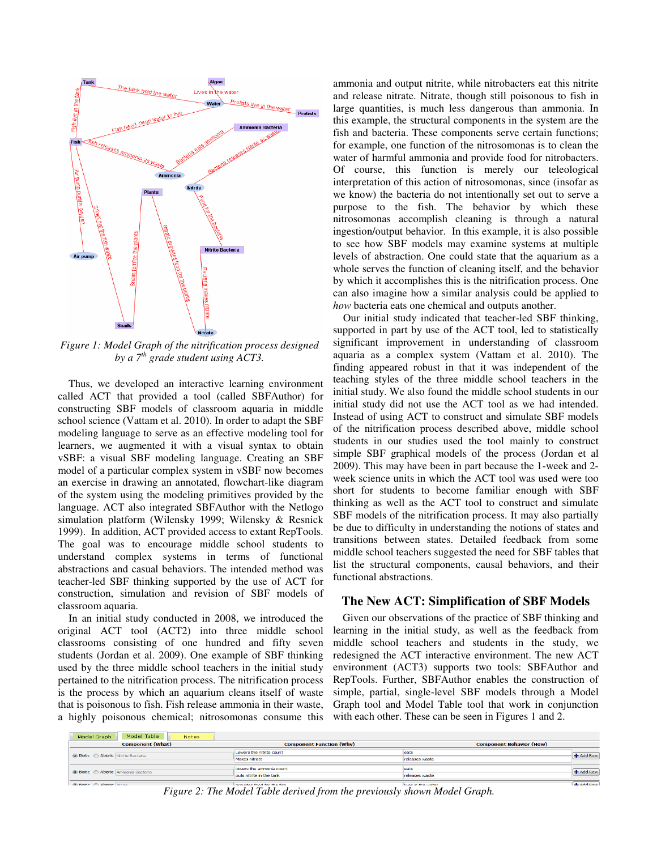

*Figure 1: Model Graph of the nitrification process designed by a 7th grade student using ACT3.* 

Thus, we developed an interactive learning environment called ACT that provided a tool (called SBFAuthor) for constructing SBF models of classroom aquaria in middle school science (Vattam et al. 2010). In order to adapt the SBF modeling language to serve as an effective modeling tool for learners, we augmented it with a visual syntax to obtain vSBF: a visual SBF modeling language. Creating an SBF model of a particular complex system in vSBF now becomes an exercise in drawing an annotated, flowchart-like diagram of the system using the modeling primitives provided by the language. ACT also integrated SBFAuthor with the Netlogo simulation platform (Wilensky 1999; Wilensky & Resnick 1999). In addition, ACT provided access to extant RepTools. The goal was to encourage middle school students to understand complex systems in terms of functional abstractions and casual behaviors. The intended method was teacher-led SBF thinking supported by the use of ACT for construction, simulation and revision of SBF models of classroom aquaria.

In an initial study conducted in 2008, we introduced the original ACT tool (ACT2) into three middle school classrooms consisting of one hundred and fifty seven students (Jordan et al. 2009). One example of SBF thinking used by the three middle school teachers in the initial study pertained to the nitrification process. The nitrification process is the process by which an aquarium cleans itself of waste that is poisonous to fish. Fish release ammonia in their waste, a highly poisonous chemical; nitrosomonas consume this ammonia and output nitrite, while nitrobacters eat this nitrite and release nitrate. Nitrate, though still poisonous to fish in large quantities, is much less dangerous than ammonia. In this example, the structural components in the system are the fish and bacteria. These components serve certain functions; for example, one function of the nitrosomonas is to clean the water of harmful ammonia and provide food for nitrobacters. Of course, this function is merely our teleological interpretation of this action of nitrosomonas, since (insofar as we know) the bacteria do not intentionally set out to serve a purpose to the fish. The behavior by which these nitrosomonas accomplish cleaning is through a natural ingestion/output behavior. In this example, it is also possible to see how SBF models may examine systems at multiple levels of abstraction. One could state that the aquarium as a whole serves the function of cleaning itself, and the behavior by which it accomplishes this is the nitrification process. One can also imagine how a similar analysis could be applied to *how* bacteria eats one chemical and outputs another.

Our initial study indicated that teacher-led SBF thinking, supported in part by use of the ACT tool, led to statistically significant improvement in understanding of classroom aquaria as a complex system (Vattam et al. 2010). The finding appeared robust in that it was independent of the teaching styles of the three middle school teachers in the initial study. We also found the middle school students in our initial study did not use the ACT tool as we had intended. Instead of using ACT to construct and simulate SBF models of the nitrification process described above, middle school students in our studies used the tool mainly to construct simple SBF graphical models of the process (Jordan et al 2009). This may have been in part because the 1-week and 2 week science units in which the ACT tool was used were too short for students to become familiar enough with SBF thinking as well as the ACT tool to construct and simulate SBF models of the nitrification process. It may also partially be due to difficulty in understanding the notions of states and transitions between states. Detailed feedback from some middle school teachers suggested the need for SBF tables that list the structural components, causal behaviors, and their functional abstractions.

# **The New ACT: Simplification of SBF Models**

Given our observations of the practice of SBF thinking and learning in the initial study, as well as the feedback from middle school teachers and students in the study, we redesigned the ACT interactive environment. The new ACT environment (ACT3) supports two tools: SBFAuthor and RepTools. Further, SBFAuthor enables the construction of simple, partial, single-level SBF models through a Model Graph tool and Model Table tool that work in conjunction with each other. These can be seen in Figures 1 and 2.

| Model Table<br>Model Graph<br><b>Notes</b> |                                 |                                 |                     |  |
|--------------------------------------------|---------------------------------|---------------------------------|---------------------|--|
| <b>Component (What)</b>                    | <b>Component Function (Why)</b> | <b>Component Behavior (How)</b> |                     |  |
| <b>O Biotic</b> Abiotic Nitrite Bacteria   | Lowers the nitrite count        | eats                            | + Add Row           |  |
|                                            | Makes nitrate                   | releases waste                  |                     |  |
| <b>O Biotic</b> Abiotic Ammonia Bacteria   | lowers the ammonia count        | eats                            | + Add Row           |  |
|                                            | puts nitrite in the tank        | releases waste                  |                     |  |
| a Biotic Abiotic Algae                     | provided food for the fich      | livee in the water.             | <b>John Add Row</b> |  |

*Figure 2: The Model Table derived from the previously shown Model Graph.*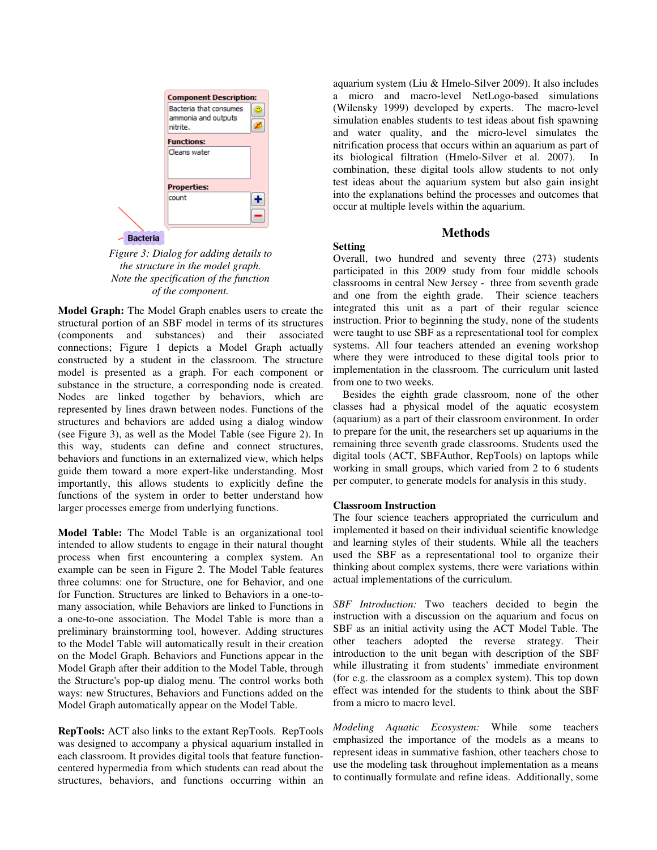

*Figure 3: Dialog for adding details to the structure in the model graph. Note the specification of the function of the component.* 

**Model Graph:** The Model Graph enables users to create the structural portion of an SBF model in terms of its structures (components and substances) and their associated connections; Figure 1 depicts a Model Graph actually constructed by a student in the classroom. The structure model is presented as a graph. For each component or substance in the structure, a corresponding node is created. Nodes are linked together by behaviors, which are represented by lines drawn between nodes. Functions of the structures and behaviors are added using a dialog window (see Figure 3), as well as the Model Table (see Figure 2). In this way, students can define and connect structures, behaviors and functions in an externalized view, which helps guide them toward a more expert-like understanding. Most importantly, this allows students to explicitly define the functions of the system in order to better understand how larger processes emerge from underlying functions.

**Model Table:** The Model Table is an organizational tool intended to allow students to engage in their natural thought process when first encountering a complex system. An example can be seen in Figure 2. The Model Table features three columns: one for Structure, one for Behavior, and one for Function. Structures are linked to Behaviors in a one-tomany association, while Behaviors are linked to Functions in a one-to-one association. The Model Table is more than a preliminary brainstorming tool, however. Adding structures to the Model Table will automatically result in their creation on the Model Graph. Behaviors and Functions appear in the Model Graph after their addition to the Model Table, through the Structure's pop-up dialog menu. The control works both ways: new Structures, Behaviors and Functions added on the Model Graph automatically appear on the Model Table.

**RepTools:** ACT also links to the extant RepTools. RepTools was designed to accompany a physical aquarium installed in each classroom. It provides digital tools that feature functioncentered hypermedia from which students can read about the structures, behaviors, and functions occurring within an aquarium system (Liu & Hmelo-Silver 2009). It also includes a micro and macro-level NetLogo-based simulations (Wilensky 1999) developed by experts. The macro-level simulation enables students to test ideas about fish spawning and water quality, and the micro-level simulates the nitrification process that occurs within an aquarium as part of its biological filtration (Hmelo-Silver et al. 2007). In combination, these digital tools allow students to not only test ideas about the aquarium system but also gain insight into the explanations behind the processes and outcomes that occur at multiple levels within the aquarium.

# **Methods**

## **Setting**

Overall, two hundred and seventy three (273) students participated in this 2009 study from four middle schools classrooms in central New Jersey - three from seventh grade and one from the eighth grade. Their science teachers integrated this unit as a part of their regular science instruction. Prior to beginning the study, none of the students were taught to use SBF as a representational tool for complex systems. All four teachers attended an evening workshop where they were introduced to these digital tools prior to implementation in the classroom. The curriculum unit lasted from one to two weeks.

Besides the eighth grade classroom, none of the other classes had a physical model of the aquatic ecosystem (aquarium) as a part of their classroom environment. In order to prepare for the unit, the researchers set up aquariums in the remaining three seventh grade classrooms. Students used the digital tools (ACT, SBFAuthor, RepTools) on laptops while working in small groups, which varied from 2 to 6 students per computer, to generate models for analysis in this study.

# **Classroom Instruction**

The four science teachers appropriated the curriculum and implemented it based on their individual scientific knowledge and learning styles of their students. While all the teachers used the SBF as a representational tool to organize their thinking about complex systems, there were variations within actual implementations of the curriculum.

*SBF Introduction:* Two teachers decided to begin the instruction with a discussion on the aquarium and focus on SBF as an initial activity using the ACT Model Table. The other teachers adopted the reverse strategy. Their introduction to the unit began with description of the SBF while illustrating it from students' immediate environment (for e.g. the classroom as a complex system). This top down effect was intended for the students to think about the SBF from a micro to macro level.

*Modeling Aquatic Ecosystem:* While some teachers emphasized the importance of the models as a means to represent ideas in summative fashion, other teachers chose to use the modeling task throughout implementation as a means to continually formulate and refine ideas. Additionally, some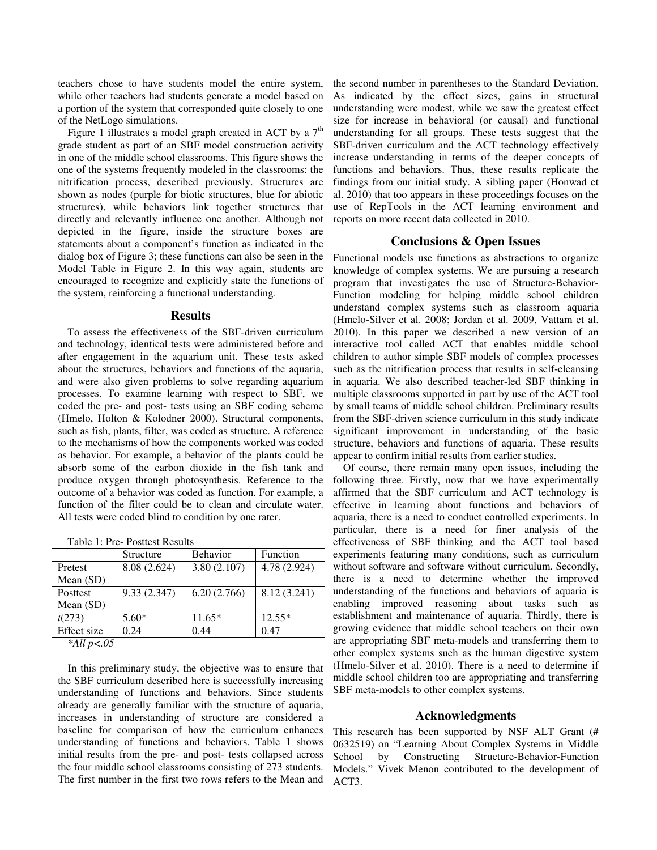teachers chose to have students model the entire system, while other teachers had students generate a model based on a portion of the system that corresponded quite closely to one of the NetLogo simulations.

Figure 1 illustrates a model graph created in ACT by a  $7<sup>th</sup>$ grade student as part of an SBF model construction activity in one of the middle school classrooms. This figure shows the one of the systems frequently modeled in the classrooms: the nitrification process, described previously. Structures are shown as nodes (purple for biotic structures, blue for abiotic structures), while behaviors link together structures that directly and relevantly influence one another. Although not depicted in the figure, inside the structure boxes are statements about a component's function as indicated in the dialog box of Figure 3; these functions can also be seen in the Model Table in Figure 2. In this way again, students are encouraged to recognize and explicitly state the functions of the system, reinforcing a functional understanding.

#### **Results**

To assess the effectiveness of the SBF-driven curriculum and technology, identical tests were administered before and after engagement in the aquarium unit. These tests asked about the structures, behaviors and functions of the aquaria, and were also given problems to solve regarding aquarium processes. To examine learning with respect to SBF, we coded the pre- and post- tests using an SBF coding scheme (Hmelo, Holton & Kolodner 2000). Structural components, such as fish, plants, filter, was coded as structure. A reference to the mechanisms of how the components worked was coded as behavior. For example, a behavior of the plants could be absorb some of the carbon dioxide in the fish tank and produce oxygen through photosynthesis. Reference to the outcome of a behavior was coded as function. For example, a function of the filter could be to clean and circulate water. All tests were coded blind to condition by one rater.

|                        | Structure    | <b>Behavior</b> | Function     |  |  |
|------------------------|--------------|-----------------|--------------|--|--|
| Pretest                | 8.08 (2.624) | 3.80(2.107)     | 4.78 (2.924) |  |  |
| Mean (SD)              |              |                 |              |  |  |
| Posttest               | 9.33(2.347)  | 6.20(2.766)     | 8.12 (3.241) |  |  |
| Mean $(SD)$            |              |                 |              |  |  |
| t(273)                 | $5.60*$      | $11.65*$        | $12.55*$     |  |  |
| Effect size            | 0.24         | 0.44            | 0.47         |  |  |
| $*$ A II $*$ $\sim$ 05 |              |                 |              |  |  |

*<sup>\*</sup>All p<.05* 

In this preliminary study, the objective was to ensure that the SBF curriculum described here is successfully increasing understanding of functions and behaviors. Since students already are generally familiar with the structure of aquaria, increases in understanding of structure are considered a baseline for comparison of how the curriculum enhances understanding of functions and behaviors. Table 1 shows initial results from the pre- and post- tests collapsed across the four middle school classrooms consisting of 273 students. The first number in the first two rows refers to the Mean and the second number in parentheses to the Standard Deviation. As indicated by the effect sizes, gains in structural understanding were modest, while we saw the greatest effect size for increase in behavioral (or causal) and functional understanding for all groups. These tests suggest that the SBF-driven curriculum and the ACT technology effectively increase understanding in terms of the deeper concepts of functions and behaviors. Thus, these results replicate the findings from our initial study. A sibling paper (Honwad et al. 2010) that too appears in these proceedings focuses on the use of RepTools in the ACT learning environment and reports on more recent data collected in 2010.

### **Conclusions & Open Issues**

Functional models use functions as abstractions to organize knowledge of complex systems. We are pursuing a research program that investigates the use of Structure-Behavior-Function modeling for helping middle school children understand complex systems such as classroom aquaria (Hmelo-Silver et al. 2008; Jordan et al. 2009, Vattam et al. 2010). In this paper we described a new version of an interactive tool called ACT that enables middle school children to author simple SBF models of complex processes such as the nitrification process that results in self-cleansing in aquaria. We also described teacher-led SBF thinking in multiple classrooms supported in part by use of the ACT tool by small teams of middle school children. Preliminary results from the SBF-driven science curriculum in this study indicate significant improvement in understanding of the basic structure, behaviors and functions of aquaria. These results appear to confirm initial results from earlier studies.

Of course, there remain many open issues, including the following three. Firstly, now that we have experimentally affirmed that the SBF curriculum and ACT technology is effective in learning about functions and behaviors of aquaria, there is a need to conduct controlled experiments. In particular, there is a need for finer analysis of the effectiveness of SBF thinking and the ACT tool based experiments featuring many conditions, such as curriculum without software and software without curriculum. Secondly, there is a need to determine whether the improved understanding of the functions and behaviors of aquaria is enabling improved reasoning about tasks such as establishment and maintenance of aquaria. Thirdly, there is growing evidence that middle school teachers on their own are appropriating SBF meta-models and transferring them to other complex systems such as the human digestive system (Hmelo-Silver et al. 2010). There is a need to determine if middle school children too are appropriating and transferring SBF meta-models to other complex systems.

## **Acknowledgments**

This research has been supported by NSF ALT Grant (# 0632519) on "Learning About Complex Systems in Middle School by Constructing Structure-Behavior-Function Models." Vivek Menon contributed to the development of ACT3.